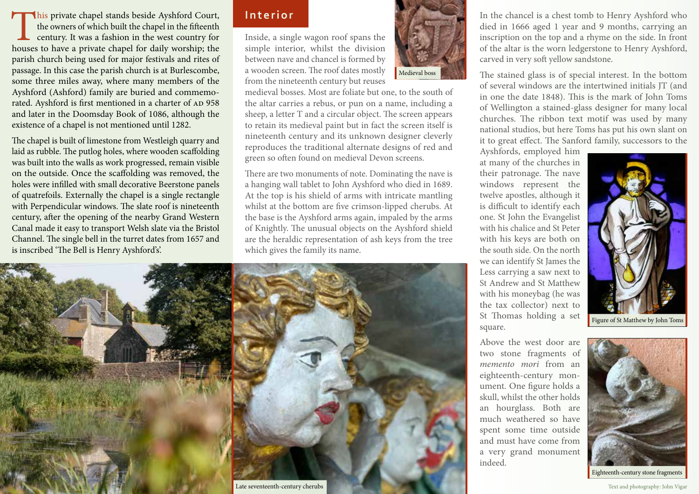This private chapel stands beside Ayshford Court, the owners of which built the chapel in the fifteenth century. It was a fashion in the west country for houses to have a private chapel for daily worship; the the owners of which built the chapel in the fifteenth century. It was a fashion in the west country for parish church being used for major festivals and rites of passage. In this case the parish church is at Burlescombe, some three miles away, where many members of the Ayshford (Ashford) family are buried and commemorated. Ayshford is first mentioned in a charter of AD 958 and later in the Doomsday Book of 1086, although the existence of a chapel is not mentioned until 1282.

The chapel is built of limestone from Westleigh quarry and laid as rubble. The putlog holes, where wooden scaffolding was built into the walls as work progressed, remain visible on the outside. Once the scaffolding was removed, the holes were infilled with small decorative Beerstone panels of quatrefoils. Externally the chapel is a single rectangle with Perpendicular windows. The slate roof is nineteenth century, after the opening of the nearby Grand Western Canal made it easy to transport Welsh slate via the Bristol Channel. The single bell in the turret dates from 1657 and is inscribed 'The Bell is Henry Ayshford's'.

## **Interior**

Inside, a single wagon roof spans the simple interior, whilst the division between nave and chancel is formed by a wooden screen. The roof dates mostly from the nineteenth century but reuses



medieval bosses. Most are foliate but one, to the south of the altar carries a rebus, or pun on a name, including a sheep, a letter T and a circular object. The screen appears to retain its medieval paint but in fact the screen itself is nineteenth century and its unknown designer cleverly reproduces the traditional alternate designs of red and green so often found on medieval Devon screens.

There are two monuments of note. Dominating the nave is a hanging wall tablet to John Ayshford who died in 1689. At the top is his shield of arms with intricate mantling whilst at the bottom are five crimson-lipped cherubs. At the base is the Ayshford arms again, impaled by the arms of Knightly. The unusual objects on the Ayshford shield are the heraldic representation of ash keys from the tree which gives the family its name.



In the chancel is a chest tomb to Henry Ayshford who died in 1666 aged 1 year and 9 months, carrying an inscription on the top and a rhyme on the side. In front of the altar is the worn ledgerstone to Henry Ayshford, carved in very soft yellow sandstone.

The stained glass is of special interest. In the bottom of several windows are the intertwined initials JT (and in one the date 1848). This is the mark of John Toms of Wellington a stained-glass designer for many local churches. The ribbon text motif was used by many national studios, but here Toms has put his own slant on it to great effect. The Sanford family, successors to the

Ayshfords, employed him at many of the churches in their patronage. The nave windows represent the twelve apostles, although it is difficult to identify each one. St John the Evangelist with his chalice and St Peter with his keys are both on the south side. On the north we can identify St James the Less carrying a saw next to St Andrew and St Matthew with his moneybag (he was the tax collector) next to St Thomas holding a set square.

Above the west door are two stone fragments of *memento mori* from an eighteenth-century monument. One figure holds a skull, whilst the other holds an hourglass. Both are much weathered so have spent some time outside and must have come from a very grand monument indeed.





Eighteenth-century stone fragments